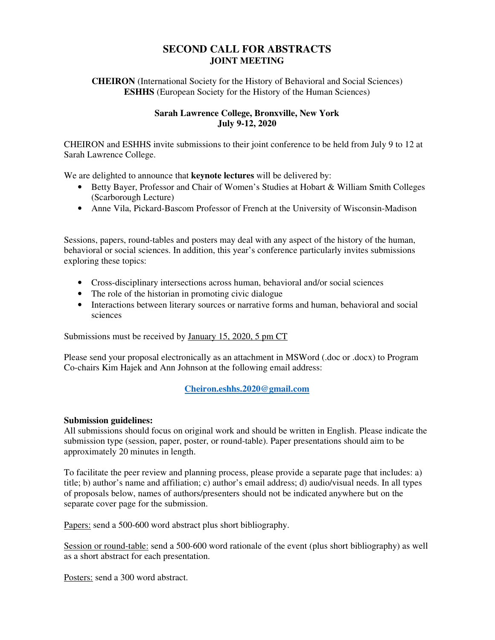# **SECOND CALL FOR ABSTRACTS JOINT MEETING**

**CHEIRON** (International Society for the History of Behavioral and Social Sciences) **ESHHS** (European Society for the History of the Human Sciences)

## **Sarah Lawrence College, Bronxville, New York July 9-12, 2020**

CHEIRON and ESHHS invite submissions to their joint conference to be held from July 9 to 12 at Sarah Lawrence College.

We are delighted to announce that **keynote lectures** will be delivered by:

- Betty Bayer, Professor and Chair of Women's Studies at Hobart & William Smith Colleges (Scarborough Lecture)
- Anne Vila, Pickard-Bascom Professor of French at the University of Wisconsin-Madison

Sessions, papers, round-tables and posters may deal with any aspect of the history of the human, behavioral or social sciences. In addition, this year's conference particularly invites submissions exploring these topics:

- Cross-disciplinary intersections across human, behavioral and/or social sciences
- The role of the historian in promoting civic dialogue
- Interactions between literary sources or narrative forms and human, behavioral and social sciences

Submissions must be received by <u>January 15, 2020, 5 pm CT</u>

Please send your proposal electronically as an attachment in MSWord (.doc or .docx) to Program Co-chairs Kim Hajek and Ann Johnson at the following email address:

## **Cheiron.eshhs.2020@gmail.com**

#### **Submission guidelines:**

All submissions should focus on original work and should be written in English. Please indicate the submission type (session, paper, poster, or round-table). Paper presentations should aim to be approximately 20 minutes in length.

To facilitate the peer review and planning process, please provide a separate page that includes: a) title; b) author's name and affiliation; c) author's email address; d) audio/visual needs. In all types of proposals below, names of authors/presenters should not be indicated anywhere but on the separate cover page for the submission.

Papers: send a 500-600 word abstract plus short bibliography.

Session or round-table: send a 500-600 word rationale of the event (plus short bibliography) as well as a short abstract for each presentation.

Posters: send a 300 word abstract.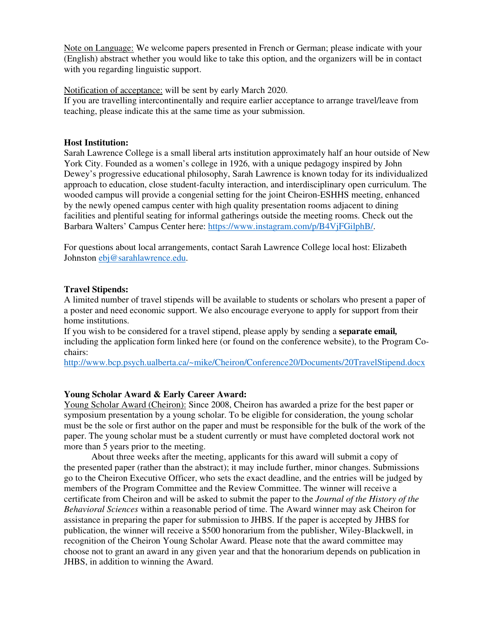Note on Language: We welcome papers presented in French or German; please indicate with your (English) abstract whether you would like to take this option, and the organizers will be in contact with you regarding linguistic support.

Notification of acceptance: will be sent by early March 2020.

If you are travelling intercontinentally and require earlier acceptance to arrange travel/leave from teaching, please indicate this at the same time as your submission.

#### **Host Institution:**

Sarah Lawrence College is a small liberal arts institution approximately half an hour outside of New York City. Founded as a women's college in 1926, with a unique pedagogy inspired by John Dewey's progressive educational philosophy, Sarah Lawrence is known today for its individualized approach to education, close student-faculty interaction, and interdisciplinary open curriculum. The wooded campus will provide a congenial setting for the joint Cheiron-ESHHS meeting, enhanced by the newly opened campus center with high quality presentation rooms adjacent to dining facilities and plentiful seating for informal gatherings outside the meeting rooms. Check out the Barbara Walters' Campus Center here: https://www.instagram.com/p/B4VjFGilphB/.

For questions about local arrangements, contact Sarah Lawrence College local host: Elizabeth Johnston ebj@sarahlawrence.edu.

### **Travel Stipends:**

A limited number of travel stipends will be available to students or scholars who present a paper of a poster and need economic support. We also encourage everyone to apply for support from their home institutions.

If you wish to be considered for a travel stipend, please apply by sending a **separate email***,* including the application form linked here (or found on the conference website), to the Program Cochairs:

http://www.bcp.psych.ualberta.ca/~mike/Cheiron/Conference20/Documents/20TravelStipend.docx

## **Young Scholar Award & Early Career Award:**

Young Scholar Award (Cheiron): Since 2008, Cheiron has awarded a prize for the best paper or symposium presentation by a young scholar. To be eligible for consideration, the young scholar must be the sole or first author on the paper and must be responsible for the bulk of the work of the paper. The young scholar must be a student currently or must have completed doctoral work not more than 5 years prior to the meeting.

About three weeks after the meeting, applicants for this award will submit a copy of the presented paper (rather than the abstract); it may include further, minor changes. Submissions go to the Cheiron Executive Officer, who sets the exact deadline, and the entries will be judged by members of the Program Committee and the Review Committee. The winner will receive a certificate from Cheiron and will be asked to submit the paper to the *Journal of the History of the Behavioral Sciences* within a reasonable period of time. The Award winner may ask Cheiron for assistance in preparing the paper for submission to JHBS. If the paper is accepted by JHBS for publication, the winner will receive a \$500 honorarium from the publisher, Wiley-Blackwell, in recognition of the Cheiron Young Scholar Award. Please note that the award committee may choose not to grant an award in any given year and that the honorarium depends on publication in JHBS, in addition to winning the Award.